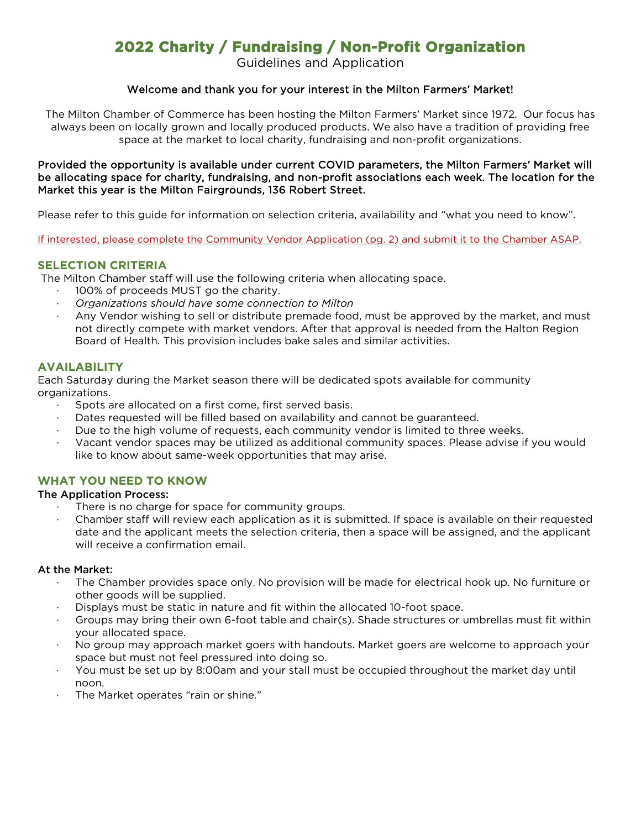## **2022 Charity / Fundraising / Non-Profit Organization**

Guidelines and Application

#### Welcome and thank you for your interest in the Milton Farmers' Market!

The Milton Chamber of Commerce has been hosting the Milton Farmers' Market since 1972. Our focus has always been on locally grown and locally produced products. We also have a tradition of providing free space at the market to local charity, fundraising and non-profit organizations.

#### Provided the opportunity is available under current COVID parameters, the Milton Farmers' Market will be allocating space for charity, fundraising, and non-profit associations each week. The location for the Market this year is the Milton Fairgrounds, 136 Robert Street.

Please refer to this guide for information on selection criteria, availability and "what you need to know".

If interested, please complete the Community Vendor Application (pg. 2) and submit it to the Chamber ASAP.

#### **SELECTION CRITERIA**

The Milton Chamber staff will use the following criteria when allocating space.

- 100% of proceeds MUST go the charity.
- · *Organizations should have some connection to Milton*
- Any Vendor wishing to sell or distribute premade food, must be approved by the market, and must not directly compete with market vendors. After that approval is needed from the Halton Region Board of Health. This provision includes bake sales and similar activities.

#### **AVAILABILITY**

Each Saturday during the Market season there will be dedicated spots available for community organizations.

- Spots are allocated on a first come, first served basis.
- Dates requested will be filled based on availability and cannot be guaranteed.
- Due to the high volume of requests, each community vendor is limited to three weeks.
- · Vacant vendor spaces may be utilized as additional community spaces. Please advise if you would like to know about same-week opportunities that may arise.

#### **WHAT YOU NEED TO KNOW**

#### The Application Process:

- There is no charge for space for community groups.
- Chamber staff will review each application as it is submitted. If space is available on their requested date and the applicant meets the selection criteria, then a space will be assigned, and the applicant will receive a confirmation email.

#### At the Market:

- · The Chamber provides space only. No provision will be made for electrical hook up. No furniture or other goods will be supplied.
- · Displays must be static in nature and fit within the allocated 10-foot space.
- Groups may bring their own 6-foot table and chair(s). Shade structures or umbrellas must fit within your allocated space.
- · No group may approach market goers with handouts. Market goers are welcome to approach your space but must not feel pressured into doing so.
- · You must be set up by 8:00am and your stall must be occupied throughout the market day until noon.
- The Market operates "rain or shine."